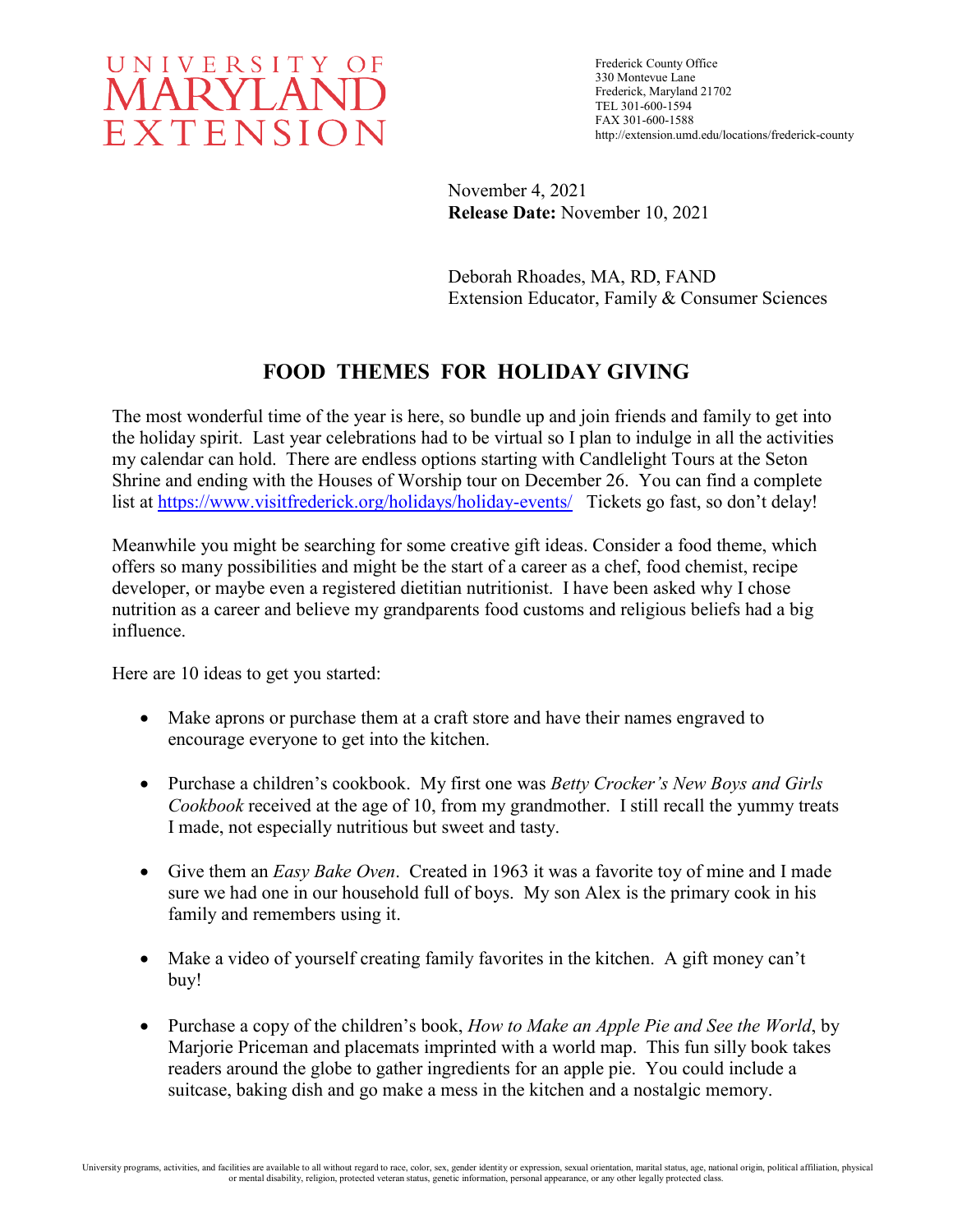

Frederick County Office 330 Montevue Lane Frederick, Maryland 21702 TEL 301-600-1594 FAX 301-600-1588 http://extension.umd.edu/locations/frederick-county

November 4, 2021 **Release Date:** November 10, 2021

Deborah Rhoades, MA, RD, FAND Extension Educator, Family & Consumer Sciences

## **FOOD THEMES FOR HOLIDAY GIVING**

The most wonderful time of the year is here, so bundle up and join friends and family to get into the holiday spirit. Last year celebrations had to be virtual so I plan to indulge in all the activities my calendar can hold. There are endless options starting with Candlelight Tours at the Seton Shrine and ending with the Houses of Worship tour on December 26. You can find a complete list at<https://www.visitfrederick.org/holidays/holiday-events/>Tickets go fast, so don't delay!

Meanwhile you might be searching for some creative gift ideas. Consider a food theme, which offers so many possibilities and might be the start of a career as a chef, food chemist, recipe developer, or maybe even a registered dietitian nutritionist. I have been asked why I chose nutrition as a career and believe my grandparents food customs and religious beliefs had a big influence.

Here are 10 ideas to get you started:

- Make aprons or purchase them at a craft store and have their names engraved to encourage everyone to get into the kitchen.
- Purchase a children's cookbook. My first one was *Betty Crocker's New Boys and Girls Cookbook* received at the age of 10, from my grandmother. I still recall the yummy treats I made, not especially nutritious but sweet and tasty.
- Give them an *Easy Bake Oven*. Created in 1963 it was a favorite toy of mine and I made sure we had one in our household full of boys. My son Alex is the primary cook in his family and remembers using it.
- Make a video of yourself creating family favorites in the kitchen. A gift money can't buy!
- Purchase a copy of the children's book, *How to Make an Apple Pie and See the World*, by Marjorie Priceman and placemats imprinted with a world map. This fun silly book takes readers around the globe to gather ingredients for an apple pie. You could include a suitcase, baking dish and go make a mess in the kitchen and a nostalgic memory.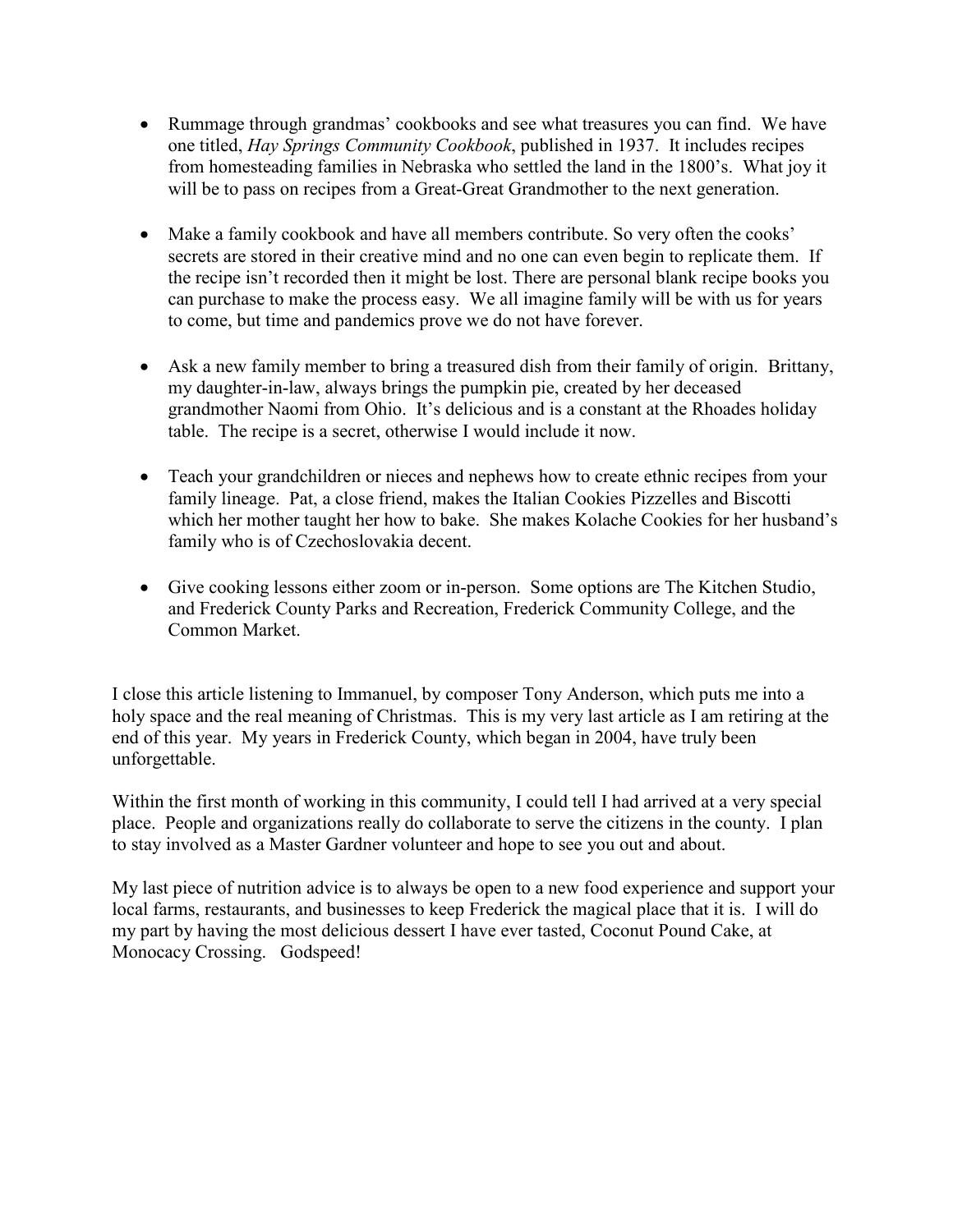- Rummage through grandmas' cookbooks and see what treasures you can find. We have one titled, *Hay Springs Community Cookbook*, published in 1937. It includes recipes from homesteading families in Nebraska who settled the land in the 1800's. What joy it will be to pass on recipes from a Great-Great Grandmother to the next generation.
- Make a family cookbook and have all members contribute. So very often the cooks' secrets are stored in their creative mind and no one can even begin to replicate them. If the recipe isn't recorded then it might be lost. There are personal blank recipe books you can purchase to make the process easy. We all imagine family will be with us for years to come, but time and pandemics prove we do not have forever.
- Ask a new family member to bring a treasured dish from their family of origin. Brittany, my daughter-in-law, always brings the pumpkin pie, created by her deceased grandmother Naomi from Ohio. It's delicious and is a constant at the Rhoades holiday table. The recipe is a secret, otherwise I would include it now.
- Teach your grandchildren or nieces and nephews how to create ethnic recipes from your family lineage. Pat, a close friend, makes the Italian Cookies Pizzelles and Biscotti which her mother taught her how to bake. She makes Kolache Cookies for her husband's family who is of Czechoslovakia decent.
- Give cooking lessons either zoom or in-person. Some options are The Kitchen Studio, and Frederick County Parks and Recreation, Frederick Community College, and the Common Market.

I close this article listening to Immanuel, by composer Tony Anderson, which puts me into a holy space and the real meaning of Christmas. This is my very last article as I am retiring at the end of this year. My years in Frederick County, which began in 2004, have truly been unforgettable.

Within the first month of working in this community, I could tell I had arrived at a very special place. People and organizations really do collaborate to serve the citizens in the county. I plan to stay involved as a Master Gardner volunteer and hope to see you out and about.

My last piece of nutrition advice is to always be open to a new food experience and support your local farms, restaurants, and businesses to keep Frederick the magical place that it is. I will do my part by having the most delicious dessert I have ever tasted, Coconut Pound Cake, at Monocacy Crossing. Godspeed!